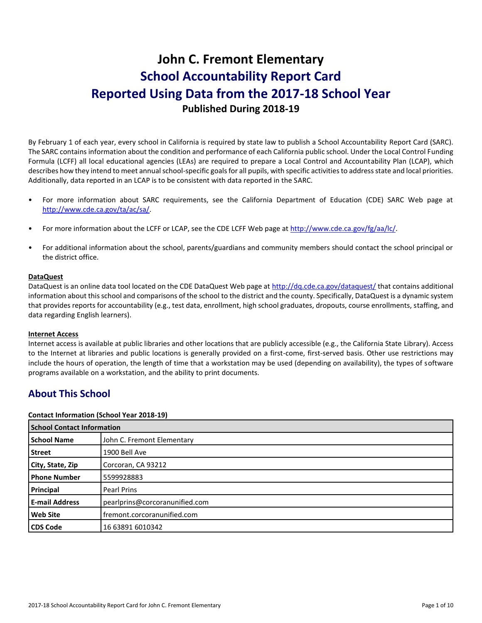# **John C. Fremont Elementary School Accountability Report Card Reported Using Data from the 2017-18 School Year Published During 2018-19**

By February 1 of each year, every school in California is required by state law to publish a School Accountability Report Card (SARC). The SARC contains information about the condition and performance of each California public school. Under the Local Control Funding Formula (LCFF) all local educational agencies (LEAs) are required to prepare a Local Control and Accountability Plan (LCAP), which describes how they intend to meet annual school-specific goals for all pupils, with specific activities to address state and local priorities. Additionally, data reported in an LCAP is to be consistent with data reported in the SARC.

- For more information about SARC requirements, see the California Department of Education (CDE) SARC Web page at [http://www.cde.ca.gov/ta/ac/sa/.](http://www.cde.ca.gov/ta/ac/sa/)
- For more information about the LCFF or LCAP, see the CDE LCFF Web page at [http://www.cde.ca.gov/fg/aa/lc/.](http://www.cde.ca.gov/fg/aa/lc/)
- For additional information about the school, parents/guardians and community members should contact the school principal or the district office.

#### **DataQuest**

DataQuest is an online data tool located on the CDE DataQuest Web page a[t http://dq.cde.ca.gov/dataquest/](http://dq.cde.ca.gov/dataquest/) that contains additional information about this school and comparisons of the school to the district and the county. Specifically, DataQuest is a dynamic system that provides reports for accountability (e.g., test data, enrollment, high school graduates, dropouts, course enrollments, staffing, and data regarding English learners).

#### **Internet Access**

Internet access is available at public libraries and other locations that are publicly accessible (e.g., the California State Library). Access to the Internet at libraries and public locations is generally provided on a first-come, first-served basis. Other use restrictions may include the hours of operation, the length of time that a workstation may be used (depending on availability), the types of software programs available on a workstation, and the ability to print documents.

### **About This School**

#### **Contact Information (School Year 2018-19)**

| <b>School Contact Information</b> |                                |
|-----------------------------------|--------------------------------|
| <b>School Name</b>                | John C. Fremont Elementary     |
| <b>Street</b>                     | 1900 Bell Ave                  |
| City, State, Zip                  | Corcoran, CA 93212             |
| <b>Phone Number</b>               | 5599928883                     |
| Principal                         | <b>Pearl Prins</b>             |
| <b>E-mail Address</b>             | pearlprins@corcoranunified.com |
| <b>Web Site</b>                   | fremont.corcoranunified.com    |
| <b>CDS Code</b>                   | 16 63891 6010342               |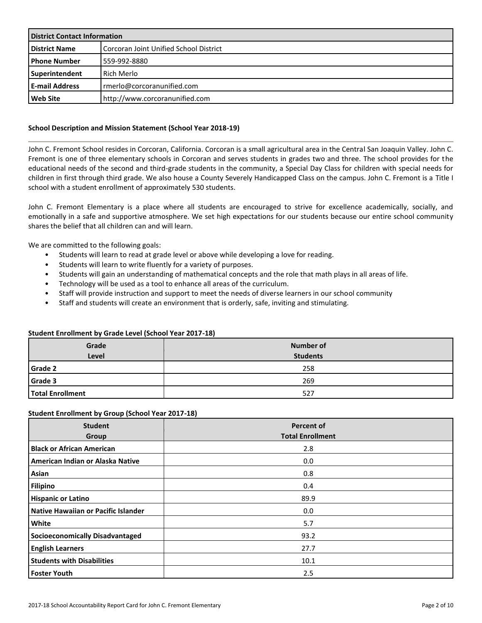| <b>District Contact Information</b> |                                        |  |
|-------------------------------------|----------------------------------------|--|
| <b>District Name</b>                | Corcoran Joint Unified School District |  |
| l Phone Number                      | 559-992-8880                           |  |
| Superintendent                      | <b>Rich Merlo</b>                      |  |
| <b>E-mail Address</b>               | rmerlo@corcoranunified.com             |  |
| <b>Web Site</b>                     | http://www.corcoranunified.com         |  |

#### **School Description and Mission Statement (School Year 2018-19)**

John C. Fremont School resides in Corcoran, California. Corcoran is a small agricultural area in the Central San Joaquin Valley. John C. Fremont is one of three elementary schools in Corcoran and serves students in grades two and three. The school provides for the educational needs of the second and third-grade students in the community, a Special Day Class for children with special needs for children in first through third grade. We also house a County Severely Handicapped Class on the campus. John C. Fremont is a Title I school with a student enrollment of approximately 530 students.

John C. Fremont Elementary is a place where all students are encouraged to strive for excellence academically, socially, and emotionally in a safe and supportive atmosphere. We set high expectations for our students because our entire school community shares the belief that all children can and will learn.

We are committed to the following goals:

- Students will learn to read at grade level or above while developing a love for reading.
- Students will learn to write fluently for a variety of purposes.
- Students will gain an understanding of mathematical concepts and the role that math plays in all areas of life.
- Technology will be used as a tool to enhance all areas of the curriculum.
- Staff will provide instruction and support to meet the needs of diverse learners in our school community
- Staff and students will create an environment that is orderly, safe, inviting and stimulating.

#### **Student Enrollment by Grade Level (School Year 2017-18)**

| Grade<br>Level          | <b>Number of</b><br><b>Students</b> |
|-------------------------|-------------------------------------|
| <b>Grade 2</b>          | 258                                 |
| <b>Grade 3</b>          | 269                                 |
| <b>Total Enrollment</b> | 527                                 |

#### **Student Enrollment by Group (School Year 2017-18)**

| <b>Student</b><br>Group                | <b>Percent of</b><br><b>Total Enrollment</b> |
|----------------------------------------|----------------------------------------------|
| <b>Black or African American</b>       | 2.8                                          |
| American Indian or Alaska Native       | 0.0                                          |
| Asian                                  | 0.8                                          |
| <b>Filipino</b>                        | 0.4                                          |
| <b>Hispanic or Latino</b>              | 89.9                                         |
| Native Hawaiian or Pacific Islander    | 0.0                                          |
| White                                  | 5.7                                          |
| <b>Socioeconomically Disadvantaged</b> | 93.2                                         |
| <b>English Learners</b>                | 27.7                                         |
| <b>Students with Disabilities</b>      | 10.1                                         |
| <b>Foster Youth</b>                    | 2.5                                          |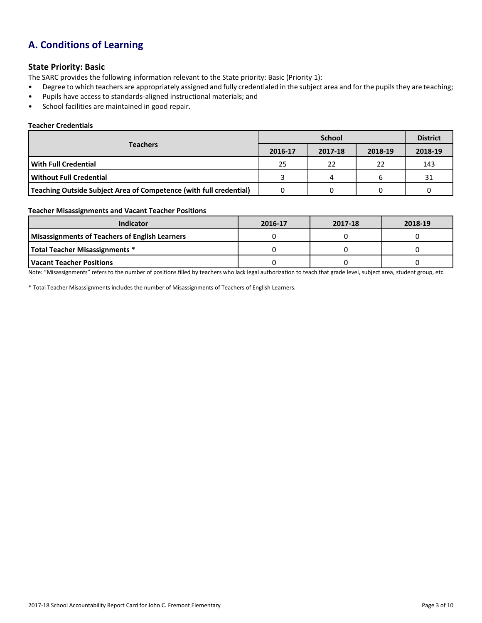## **A. Conditions of Learning**

#### **State Priority: Basic**

The SARC provides the following information relevant to the State priority: Basic (Priority 1):

- Degree to which teachers are appropriately assigned and fully credentialed in the subject area and for the pupils they are teaching;
- Pupils have access to standards-aligned instructional materials; and
- School facilities are maintained in good repair.

#### **Teacher Credentials**

|                                                                    |         | <b>District</b> |         |         |
|--------------------------------------------------------------------|---------|-----------------|---------|---------|
| <b>Teachers</b>                                                    | 2016-17 | 2017-18         | 2018-19 | 2018-19 |
| <b>With Full Credential</b>                                        | 25      | 22              | 22      | 143     |
| Without Full Credential                                            |         |                 | h       | 31      |
| Teaching Outside Subject Area of Competence (with full credential) |         |                 |         |         |

#### **Teacher Misassignments and Vacant Teacher Positions**

| Indicator                                             | 2016-17 | 2017-18 | 2018-19 |
|-------------------------------------------------------|---------|---------|---------|
| <b>Misassignments of Teachers of English Learners</b> |         |         |         |
| Total Teacher Misassignments *                        |         |         |         |
| l Vacant Teacher Positions                            |         |         |         |

Note: "Misassignments" refers to the number of positions filled by teachers who lack legal authorization to teach that grade level, subject area, student group, etc.

\* Total Teacher Misassignments includes the number of Misassignments of Teachers of English Learners.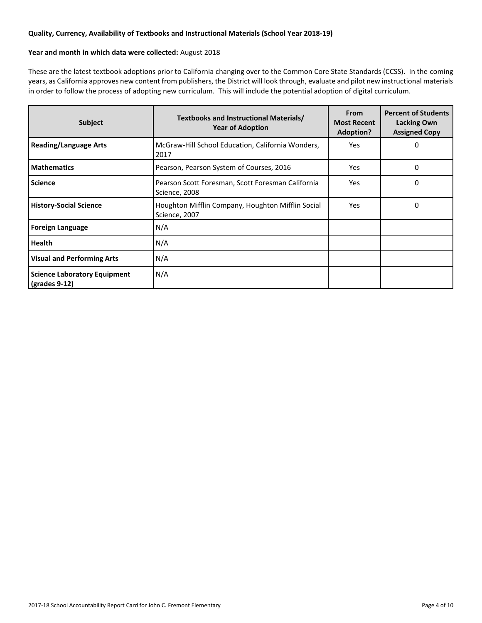#### **Quality, Currency, Availability of Textbooks and Instructional Materials (School Year 2018-19)**

#### **Year and month in which data were collected:** August 2018

These are the latest textbook adoptions prior to California changing over to the Common Core State Standards (CCSS). In the coming years, as California approves new content from publishers, the District will look through, evaluate and pilot new instructional materials in order to follow the process of adopting new curriculum. This will include the potential adoption of digital curriculum.

| <b>Subject</b>                                       | Textbooks and Instructional Materials/<br><b>Year of Adoption</b>  |      | <b>Percent of Students</b><br>Lacking Own<br><b>Assigned Copy</b> |
|------------------------------------------------------|--------------------------------------------------------------------|------|-------------------------------------------------------------------|
| <b>Reading/Language Arts</b>                         | McGraw-Hill School Education, California Wonders,<br>2017          | Yes. | 0                                                                 |
| <b>Mathematics</b>                                   | Pearson, Pearson System of Courses, 2016                           | Yes. | 0                                                                 |
| <b>Science</b>                                       | Pearson Scott Foresman, Scott Foresman California<br>Science, 2008 | Yes  | 0                                                                 |
| <b>History-Social Science</b>                        | Houghton Mifflin Company, Houghton Mifflin Social<br>Science, 2007 | Yes  | 0                                                                 |
| <b>Foreign Language</b>                              | N/A                                                                |      |                                                                   |
| <b>Health</b>                                        | N/A                                                                |      |                                                                   |
| <b>Visual and Performing Arts</b>                    | N/A                                                                |      |                                                                   |
| <b>Science Laboratory Equipment</b><br>(grades 9-12) | N/A                                                                |      |                                                                   |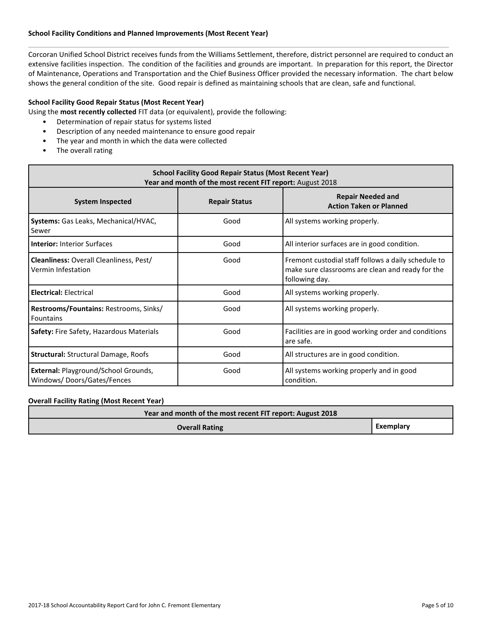#### **School Facility Conditions and Planned Improvements (Most Recent Year)**

Corcoran Unified School District receives funds from the Williams Settlement, therefore, district personnel are required to conduct an extensive facilities inspection. The condition of the facilities and grounds are important. In preparation for this report, the Director of Maintenance, Operations and Transportation and the Chief Business Officer provided the necessary information. The chart below shows the general condition of the site. Good repair is defined as maintaining schools that are clean, safe and functional.

#### **School Facility Good Repair Status (Most Recent Year)**

Using the **most recently collected** FIT data (or equivalent), provide the following:

- Determination of repair status for systems listed
- Description of any needed maintenance to ensure good repair
- The year and month in which the data were collected
- The overall rating

| <b>School Facility Good Repair Status (Most Recent Year)</b><br>Year and month of the most recent FIT report: August 2018 |                      |                                                                                                                           |  |  |  |
|---------------------------------------------------------------------------------------------------------------------------|----------------------|---------------------------------------------------------------------------------------------------------------------------|--|--|--|
| <b>System Inspected</b>                                                                                                   | <b>Repair Status</b> | <b>Repair Needed and</b><br><b>Action Taken or Planned</b>                                                                |  |  |  |
| Systems: Gas Leaks, Mechanical/HVAC,<br>Sewer                                                                             | Good                 | All systems working properly.                                                                                             |  |  |  |
| <b>Interior: Interior Surfaces</b>                                                                                        | Good                 | All interior surfaces are in good condition.                                                                              |  |  |  |
| <b>Cleanliness: Overall Cleanliness, Pest/</b><br>Vermin Infestation                                                      | Good                 | Fremont custodial staff follows a daily schedule to<br>make sure classrooms are clean and ready for the<br>following day. |  |  |  |
| <b>Electrical: Electrical</b>                                                                                             | Good                 | All systems working properly.                                                                                             |  |  |  |
| Restrooms/Fountains: Restrooms, Sinks/<br><b>Fountains</b>                                                                | Good                 | All systems working properly.                                                                                             |  |  |  |
| <b>Safety:</b> Fire Safety, Hazardous Materials                                                                           | Good                 | Facilities are in good working order and conditions<br>are safe.                                                          |  |  |  |
| <b>Structural: Structural Damage, Roofs</b>                                                                               | Good                 | All structures are in good condition.                                                                                     |  |  |  |
| External: Playground/School Grounds,<br>Windows/Doors/Gates/Fences                                                        | Good                 | All systems working properly and in good<br>condition.                                                                    |  |  |  |

#### **Overall Facility Rating (Most Recent Year)**

| Year and month of the most recent FIT report: August 2018 |           |
|-----------------------------------------------------------|-----------|
| <b>Overall Rating</b>                                     | Exemplary |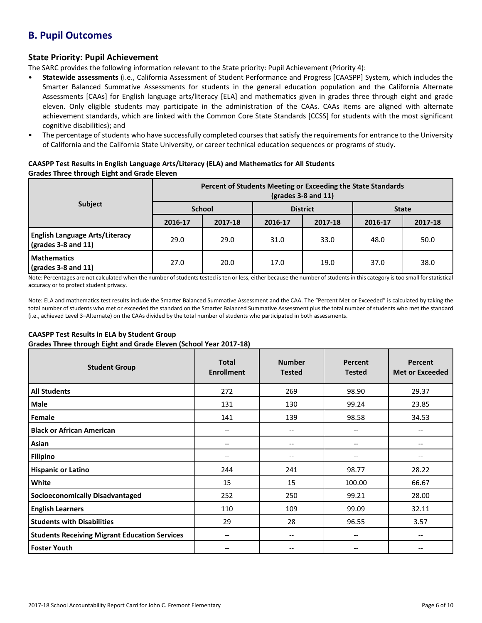## **B. Pupil Outcomes**

#### **State Priority: Pupil Achievement**

The SARC provides the following information relevant to the State priority: Pupil Achievement (Priority 4):

- **Statewide assessments** (i.e., California Assessment of Student Performance and Progress [CAASPP] System, which includes the Smarter Balanced Summative Assessments for students in the general education population and the California Alternate Assessments [CAAs] for English language arts/literacy [ELA] and mathematics given in grades three through eight and grade eleven. Only eligible students may participate in the administration of the CAAs. CAAs items are aligned with alternate achievement standards, which are linked with the Common Core State Standards [CCSS] for students with the most significant cognitive disabilities); and
- The percentage of students who have successfully completed courses that satisfy the requirements for entrance to the University of California and the California State University, or career technical education sequences or programs of study.

#### **CAASPP Test Results in English Language Arts/Literacy (ELA) and Mathematics for All Students Grades Three through Eight and Grade Eleven**

|                                                                               | Percent of Students Meeting or Exceeding the State Standards<br>$\left(\frac{\text{grades}}{3} - 8\right)$ and 11) |         |                 |         |              |         |  |
|-------------------------------------------------------------------------------|--------------------------------------------------------------------------------------------------------------------|---------|-----------------|---------|--------------|---------|--|
| <b>Subject</b>                                                                | <b>School</b>                                                                                                      |         | <b>District</b> |         | <b>State</b> |         |  |
|                                                                               | 2016-17                                                                                                            | 2017-18 | 2016-17         | 2017-18 | 2016-17      | 2017-18 |  |
| <b>English Language Arts/Literacy</b><br>$\left($ grades 3-8 and 11 $\right)$ | 29.0                                                                                                               | 29.0    | 31.0            | 33.0    | 48.0         | 50.0    |  |
| <b>Mathematics</b><br>$\frac{1}{2}$ (grades 3-8 and 11)                       | 27.0                                                                                                               | 20.0    | 17.0            | 19.0    | 37.0         | 38.0    |  |

Note: Percentages are not calculated when the number of students tested is ten or less, either because the number of students in this category is too small for statistical accuracy or to protect student privacy.

Note: ELA and mathematics test results include the Smarter Balanced Summative Assessment and the CAA. The "Percent Met or Exceeded" is calculated by taking the total number of students who met or exceeded the standard on the Smarter Balanced Summative Assessment plus the total number of students who met the standard (i.e., achieved Level 3–Alternate) on the CAAs divided by the total number of students who participated in both assessments.

#### **CAASPP Test Results in ELA by Student Group**

**Grades Three through Eight and Grade Eleven (School Year 2017-18)**

| <b>Student Group</b>                                 | <b>Total</b><br><b>Enrollment</b> | <b>Number</b><br><b>Tested</b> | Percent<br><b>Tested</b> | <b>Percent</b><br><b>Met or Exceeded</b> |
|------------------------------------------------------|-----------------------------------|--------------------------------|--------------------------|------------------------------------------|
| <b>All Students</b>                                  | 272                               | 269                            | 98.90                    | 29.37                                    |
| Male                                                 | 131                               | 130                            | 99.24                    | 23.85                                    |
| Female                                               | 141                               | 139                            | 98.58                    | 34.53                                    |
| <b>Black or African American</b>                     | --                                | $\qquad \qquad -$              | --                       | --                                       |
| Asian                                                | --                                | $- -$                          | $- -$                    | $- -$                                    |
| <b>Filipino</b>                                      | --                                | --                             | --                       | $- -$                                    |
| <b>Hispanic or Latino</b>                            | 244                               | 241                            | 98.77                    | 28.22                                    |
| White                                                | 15                                | 15                             | 100.00                   | 66.67                                    |
| <b>Socioeconomically Disadvantaged</b>               | 252                               | 250                            | 99.21                    | 28.00                                    |
| <b>English Learners</b>                              | 110                               | 109                            | 99.09                    | 32.11                                    |
| <b>Students with Disabilities</b>                    | 29                                | 28                             | 96.55                    | 3.57                                     |
| <b>Students Receiving Migrant Education Services</b> | --                                | --                             | --                       | --                                       |
| <b>Foster Youth</b>                                  | --                                | --                             | --                       |                                          |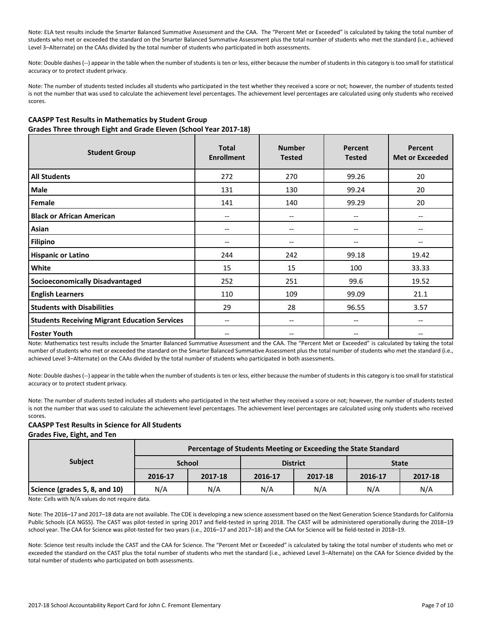Note: ELA test results include the Smarter Balanced Summative Assessment and the CAA. The "Percent Met or Exceeded" is calculated by taking the total number of students who met or exceeded the standard on the Smarter Balanced Summative Assessment plus the total number of students who met the standard (i.e., achieved Level 3–Alternate) on the CAAs divided by the total number of students who participated in both assessments.

Note: Double dashes (--) appear in the table when the number of students is ten or less, either because the number of students in this category is too small for statistical accuracy or to protect student privacy.

Note: The number of students tested includes all students who participated in the test whether they received a score or not; however, the number of students tested is not the number that was used to calculate the achievement level percentages. The achievement level percentages are calculated using only students who received scores.

#### **CAASPP Test Results in Mathematics by Student Group Grades Three through Eight and Grade Eleven (School Year 2017-18)**

| <b>Student Group</b>                                 | <b>Total</b><br><b>Enrollment</b> | <b>Number</b><br><b>Tested</b>        | Percent<br><b>Tested</b>      | <b>Percent</b><br><b>Met or Exceeded</b> |
|------------------------------------------------------|-----------------------------------|---------------------------------------|-------------------------------|------------------------------------------|
| <b>All Students</b>                                  | 272                               | 270                                   | 99.26                         | 20                                       |
| Male                                                 | 131                               | 130                                   | 99.24                         | 20                                       |
| Female                                               | 141                               | 140                                   | 99.29                         | 20                                       |
| <b>Black or African American</b>                     | --                                | --                                    | --                            |                                          |
| Asian                                                | --                                | --                                    | --                            | --                                       |
| <b>Filipino</b>                                      | --                                | --                                    | --                            | $- -$                                    |
| <b>Hispanic or Latino</b>                            | 244                               | 242                                   | 99.18                         | 19.42                                    |
| White                                                | 15                                | 15                                    | 100                           | 33.33                                    |
| <b>Socioeconomically Disadvantaged</b>               | 252                               | 251                                   | 99.6                          | 19.52                                    |
| <b>English Learners</b>                              | 110                               | 109                                   | 99.09                         | 21.1                                     |
| <b>Students with Disabilities</b>                    | 29                                | 28                                    | 96.55                         | 3.57                                     |
| <b>Students Receiving Migrant Education Services</b> | $\overline{\phantom{a}}$          | $\hspace{0.05cm}$ – $\hspace{0.05cm}$ | $\hspace{0.05cm} \textbf{--}$ | $\hspace{0.05cm} \ldots$                 |
| <b>Foster Youth</b>                                  | --                                | $-$                                   | --                            |                                          |

Note: Mathematics test results include the Smarter Balanced Summative Assessment and the CAA. The "Percent Met or Exceeded" is calculated by taking the total number of students who met or exceeded the standard on the Smarter Balanced Summative Assessment plus the total number of students who met the standard (i.e., achieved Level 3–Alternate) on the CAAs divided by the total number of students who participated in both assessments.

Note: Double dashes (--) appear in the table when the number of students is ten or less, either because the number of students in this category is too small for statistical accuracy or to protect student privacy.

Note: The number of students tested includes all students who participated in the test whether they received a score or not; however, the number of students tested is not the number that was used to calculate the achievement level percentages. The achievement level percentages are calculated using only students who received scores.

#### **CAASPP Test Results in Science for All Students Grades Five, Eight, and Ten**

| <b>Subject</b>                | Percentage of Students Meeting or Exceeding the State Standard |               |                 |         |              |         |  |  |  |
|-------------------------------|----------------------------------------------------------------|---------------|-----------------|---------|--------------|---------|--|--|--|
|                               |                                                                | <b>School</b> | <b>District</b> |         | <b>State</b> |         |  |  |  |
|                               | 2016-17                                                        | 2017-18       | 2016-17         | 2017-18 | 2016-17      | 2017-18 |  |  |  |
| Science (grades 5, 8, and 10) | N/A                                                            | N/A           | N/A             | N/A     | N/A          | N/A     |  |  |  |

Note: Cells with N/A values do not require data.

Note: The 2016–17 and 2017–18 data are not available. The CDE is developing a new science assessment based on the Next Generation Science Standards for California Public Schools (CA NGSS). The CAST was pilot-tested in spring 2017 and field-tested in spring 2018. The CAST will be administered operationally during the 2018–19 school year. The CAA for Science was pilot-tested for two years (i.e., 2016–17 and 2017–18) and the CAA for Science will be field-tested in 2018–19.

Note: Science test results include the CAST and the CAA for Science. The "Percent Met or Exceeded" is calculated by taking the total number of students who met or exceeded the standard on the CAST plus the total number of students who met the standard (i.e., achieved Level 3–Alternate) on the CAA for Science divided by the total number of students who participated on both assessments.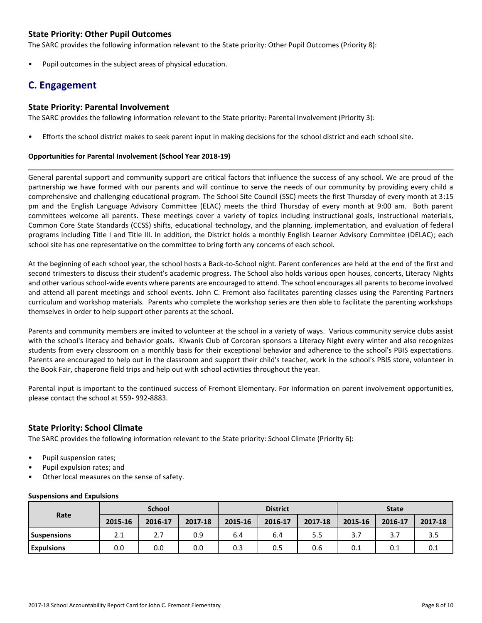#### **State Priority: Other Pupil Outcomes**

The SARC provides the following information relevant to the State priority: Other Pupil Outcomes (Priority 8):

Pupil outcomes in the subject areas of physical education.

## **C. Engagement**

#### **State Priority: Parental Involvement**

The SARC provides the following information relevant to the State priority: Parental Involvement (Priority 3):

• Efforts the school district makes to seek parent input in making decisions for the school district and each school site.

#### **Opportunities for Parental Involvement (School Year 2018-19)**

General parental support and community support are critical factors that influence the success of any school. We are proud of the partnership we have formed with our parents and will continue to serve the needs of our community by providing every child a comprehensive and challenging educational program. The School Site Council (SSC) meets the first Thursday of every month at 3:15 pm and the English Language Advisory Committee (ELAC) meets the third Thursday of every month at 9:00 am. Both parent committees welcome all parents. These meetings cover a variety of topics including instructional goals, instructional materials, Common Core State Standards (CCSS) shifts, educational technology, and the planning, implementation, and evaluation of federal programs including Title I and Title III. In addition, the District holds a monthly English Learner Advisory Committee (DELAC); each school site has one representative on the committee to bring forth any concerns of each school.

At the beginning of each school year, the school hosts a Back-to-School night. Parent conferences are held at the end of the first and second trimesters to discuss their student's academic progress. The School also holds various open houses, concerts, Literacy Nights and other various school-wide events where parents are encouraged to attend. The school encourages all parents to become involved and attend all parent meetings and school events. John C. Fremont also facilitates parenting classes using the Parenting Partners curriculum and workshop materials. Parents who complete the workshop series are then able to facilitate the parenting workshops themselves in order to help support other parents at the school.

Parents and community members are invited to volunteer at the school in a variety of ways. Various community service clubs assist with the school's literacy and behavior goals. Kiwanis Club of Corcoran sponsors a Literacy Night every winter and also recognizes students from every classroom on a monthly basis for their exceptional behavior and adherence to the school's PBIS expectations. Parents are encouraged to help out in the classroom and support their child's teacher, work in the school's PBIS store, volunteer in the Book Fair, chaperone field trips and help out with school activities throughout the year.

Parental input is important to the continued success of Fremont Elementary. For information on parent involvement opportunities, please contact the school at 559- 992-8883.

#### **State Priority: School Climate**

The SARC provides the following information relevant to the State priority: School Climate (Priority 6):

- Pupil suspension rates;
- Pupil expulsion rates; and
- Other local measures on the sense of safety.

|                    | <b>School</b> |         |         | <b>District</b> |         |         | <b>State</b> |         |         |
|--------------------|---------------|---------|---------|-----------------|---------|---------|--------------|---------|---------|
| Rate               | 2015-16       | 2016-17 | 2017-18 | 2015-16         | 2016-17 | 2017-18 | 2015-16      | 2016-17 | 2017-18 |
| <b>Suspensions</b> | 2.1           | 2.7     | 0.9     | 6.4             | 6.4     | 5.5     | 3.7          | 3.      | 3.5     |
| <b>Expulsions</b>  | 0.0           | 0.0     | 0.0     | 0.3             | 0.5     | 0.6     | 0.1          | 0.1     | 0.1     |

#### **Suspensions and Expulsions**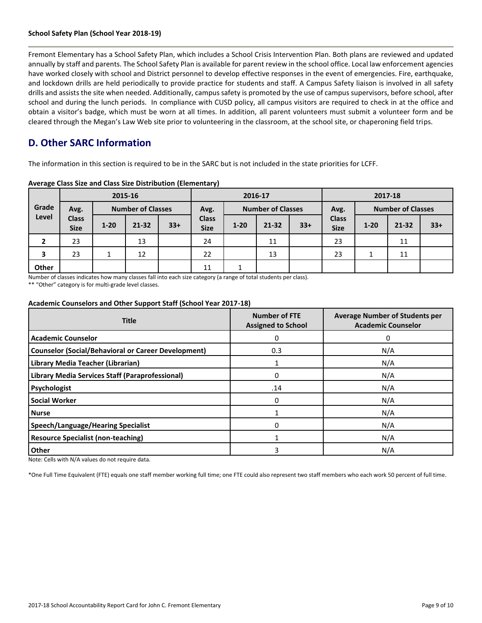#### **School Safety Plan (School Year 2018-19)**

Fremont Elementary has a School Safety Plan, which includes a School Crisis Intervention Plan. Both plans are reviewed and updated annually by staff and parents. The School Safety Plan is available for parent review in the school office. Local law enforcement agencies have worked closely with school and District personnel to develop effective responses in the event of emergencies. Fire, earthquake, and lockdown drills are held periodically to provide practice for students and staff. A Campus Safety liaison is involved in all safety drills and assists the site when needed. Additionally, campus safety is promoted by the use of campus supervisors, before school, after school and during the lunch periods. In compliance with CUSD policy, all campus visitors are required to check in at the office and obtain a visitor's badge, which must be worn at all times. In addition, all parent volunteers must submit a volunteer form and be cleared through the Megan's Law Web site prior to volunteering in the classroom, at the school site, or chaperoning field trips.

## **D. Other SARC Information**

The information in this section is required to be in the SARC but is not included in the state priorities for LCFF.

|       | 2015-16                     |                          | 2016-17   |                                  |                             | 2017-18                          |           |       |                             |          |           |       |
|-------|-----------------------------|--------------------------|-----------|----------------------------------|-----------------------------|----------------------------------|-----------|-------|-----------------------------|----------|-----------|-------|
| Grade | Avg.                        | <b>Number of Classes</b> |           | <b>Number of Classes</b><br>Avg. |                             | <b>Number of Classes</b><br>Avg. |           |       |                             |          |           |       |
| Level | <b>Class</b><br><b>Size</b> | $1 - 20$                 | $21 - 32$ | $33+$                            | <b>Class</b><br><b>Size</b> | $1 - 20$                         | $21 - 32$ | $33+$ | <b>Class</b><br><b>Size</b> | $1 - 20$ | $21 - 32$ | $33+$ |
| 2     | 23                          |                          | 13        |                                  | 24                          |                                  | 11        |       | 23                          |          | 11        |       |
| 3     | 23                          |                          | 12        |                                  | 22                          |                                  | 13        |       | 23                          |          | 11        |       |
| Other |                             |                          |           |                                  | 11                          |                                  |           |       |                             |          |           |       |

**Average Class Size and Class Size Distribution (Elementary)**

Number of classes indicates how many classes fall into each size category (a range of total students per class).

\*\* "Other" category is for multi-grade level classes.

#### **Academic Counselors and Other Support Staff (School Year 2017-18)**

| <b>Title</b>                                               | <b>Number of FTE</b><br><b>Assigned to School</b> | <b>Average Number of Students per</b><br><b>Academic Counselor</b> |  |  |
|------------------------------------------------------------|---------------------------------------------------|--------------------------------------------------------------------|--|--|
| <b>Academic Counselor</b>                                  | 0                                                 | 0                                                                  |  |  |
| <b>Counselor (Social/Behavioral or Career Development)</b> | 0.3                                               | N/A                                                                |  |  |
| Library Media Teacher (Librarian)                          |                                                   | N/A                                                                |  |  |
| Library Media Services Staff (Paraprofessional)            | 0                                                 | N/A                                                                |  |  |
| Psychologist                                               | .14                                               | N/A                                                                |  |  |
| <b>Social Worker</b>                                       | $\Omega$                                          | N/A                                                                |  |  |
| <b>Nurse</b>                                               |                                                   | N/A                                                                |  |  |
| <b>Speech/Language/Hearing Specialist</b>                  | 0                                                 | N/A                                                                |  |  |
| <b>Resource Specialist (non-teaching)</b>                  |                                                   | N/A                                                                |  |  |
| <b>Other</b>                                               | 3                                                 | N/A                                                                |  |  |

Note: Cells with N/A values do not require data.

\*One Full Time Equivalent (FTE) equals one staff member working full time; one FTE could also represent two staff members who each work 50 percent of full time.